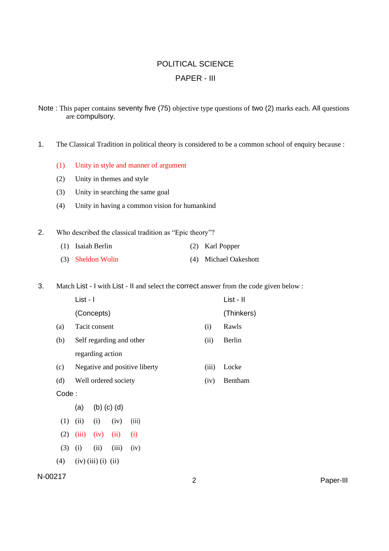## POLITICAL SCIENCE PAPER - III

Note : This paper contains seventy five (75) objective type questions of two (2) marks each. All questions are compulsory.

- 1. The Classical Tradition in political theory is considered to be a common school of enquiry because :
	- (1) Unity in style and manner of argument
	- (2) Unity in themes and style
	- (3) Unity in searching the same goal
	- (4) Unity in having a common vision for humankind
- 2. Who described the classical tradition as "Epic theory"?
	- (1) Isaiah Berlin (2) Karl Popper
	- (3) Sheldon Wolin (4) Michael Oakeshott

3. Match List - I with List - II and select the correct answer from the code given below :

|        | List - I                      |       | List - II  |
|--------|-------------------------------|-------|------------|
|        | (Concepts)                    |       | (Thinkers) |
| (a)    | Tacit consent                 | (i)   | Rawls      |
| (b)    | Self regarding and other      | (i)   | Berlin     |
|        | regarding action              |       |            |
| (c)    | Negative and positive liberty | (iii) | Locke      |
| (d)    | Well ordered society          | (iv)  | Bentham    |
| Coda · |                               |       |            |

Code :

(a) (b) (c) (d)

- $(1)$   $(ii)$   $(i)$   $(iv)$   $(iii)$
- $(2)$   $(iii)$   $(iv)$   $(ii)$   $(i)$
- $(3)$  (i) (iii) (iii) (iv)
- $(4)$   $(iv)$   $(iii)$   $(i)$   $(ii)$

```
N-00217 2 Paper-III
```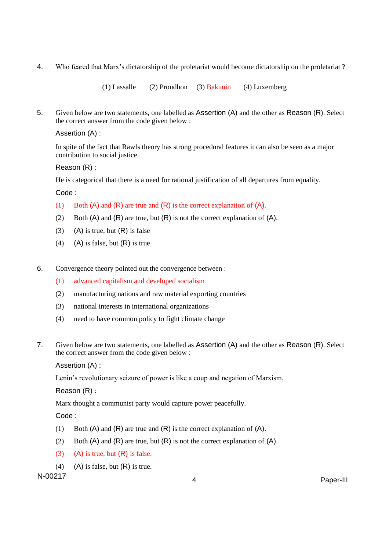4. Who feared that Marx's dictatorship of the proletariat would become dictatorship on the proletariat ?

(1) Lassalle (2) Proudhon (3) Bakunin (4) Luxemberg

5. Given below are two statements, one labelled as Assertion (A) and the other as Reason (R). Select the correct answer from the code given below :

Assertion (A) :

In spite of the fact that Rawls theory has strong procedural features it can also be seen as a major contribution to social justice.

Reason (R) :

He is categorical that there is a need for rational justification of all departures from equality.

Code :

- (1) Both (A) and (R) are true and (R) is the correct explanation of (A).
- (2) Both  $(A)$  and  $(R)$  are true, but  $(R)$  is not the correct explanation of  $(A)$ .
- (3) (A) is true, but  $(R)$  is false
- (4) (A) is false, but  $(R)$  is true
- 6. Convergence theory pointed out the convergence between :
	- (1) advanced capitalism and developed socialism
	- (2) manufacturing nations and raw material exporting countries
	- (3) national interests in international organizations
	- (4) need to have common policy to fight climate change
- 7. Given below are two statements, one labelled as Assertion (A) and the other as Reason (R). Select the correct answer from the code given below :

Assertion (A) :

Lenin's revolutionary seizure of power is like a coup and negation of Marxism.

Reason (R) :

Marx thought a communist party would capture power peacefully.

Code :

- (1) Both (A) and (R) are true and (R) is the correct explanation of (A).
- (2) Both  $(A)$  and  $(R)$  are true, but  $(R)$  is not the correct explanation of  $(A)$ .
- (3) (A) is true, but  $(R)$  is false.
- (4) (A) is false, but  $(R)$  is true.

N-00217 <sup>4</sup> Paper-III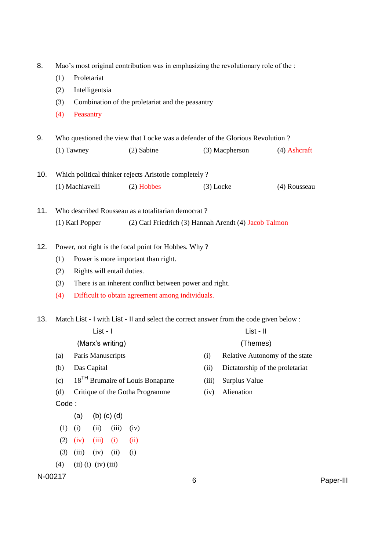| 8.  | Mao's most original contribution was in emphasizing the revolutionary role of the : |                   |                             |                   |                                                                                         |             |                |                                 |           |
|-----|-------------------------------------------------------------------------------------|-------------------|-----------------------------|-------------------|-----------------------------------------------------------------------------------------|-------------|----------------|---------------------------------|-----------|
|     | (1)                                                                                 |                   | Proletariat                 |                   |                                                                                         |             |                |                                 |           |
|     | (2)                                                                                 |                   | Intelligentsia              |                   |                                                                                         |             |                |                                 |           |
|     | (3)                                                                                 |                   |                             |                   | Combination of the proletariat and the peasantry                                        |             |                |                                 |           |
|     | (4)                                                                                 | Peasantry         |                             |                   |                                                                                         |             |                |                                 |           |
| 9.  |                                                                                     |                   |                             |                   | Who questioned the view that Locke was a defender of the Glorious Revolution?           |             |                |                                 |           |
|     |                                                                                     | $(1)$ Tawney      |                             |                   | (2) Sabine                                                                              |             | (3) Macpherson | $(4)$ Ashcraft                  |           |
| 10. |                                                                                     |                   |                             |                   | Which political thinker rejects Aristotle completely?                                   |             |                |                                 |           |
|     |                                                                                     | (1) Machiavelli   |                             |                   | $(2)$ Hobbes                                                                            | $(3)$ Locke |                | (4) Rousseau                    |           |
| 11. |                                                                                     |                   |                             |                   | Who described Rousseau as a totalitarian democrat?                                      |             |                |                                 |           |
|     |                                                                                     | (1) Karl Popper   |                             |                   | (2) Carl Friedrich (3) Hannah Arendt (4) Jacob Talmon                                   |             |                |                                 |           |
| 12. |                                                                                     |                   |                             |                   | Power, not right is the focal point for Hobbes. Why?                                    |             |                |                                 |           |
|     | (1)                                                                                 |                   |                             |                   | Power is more important than right.                                                     |             |                |                                 |           |
|     | (2)                                                                                 |                   |                             |                   | Rights will entail duties.                                                              |             |                |                                 |           |
|     | (3)                                                                                 |                   |                             |                   | There is an inherent conflict between power and right.                                  |             |                |                                 |           |
|     | (4)                                                                                 |                   |                             |                   | Difficult to obtain agreement among individuals.                                        |             |                |                                 |           |
| 13. |                                                                                     |                   |                             |                   | Match List - I with List - II and select the correct answer from the code given below : |             |                |                                 |           |
|     |                                                                                     |                   | List - I                    |                   |                                                                                         |             | List - II      |                                 |           |
|     |                                                                                     |                   |                             | (Marx's writing)  |                                                                                         |             | (Themes)       |                                 |           |
|     | (a)                                                                                 | Paris Manuscripts |                             |                   |                                                                                         | (i)         |                | Relative Autonomy of the state  |           |
|     | (b)                                                                                 |                   | Das Capital                 |                   |                                                                                         | (ii)        |                | Dictatorship of the proletariat |           |
|     | (c)                                                                                 |                   |                             |                   | 18 <sup>TH</sup> Brumaire of Louis Bonaparte                                            | (iii)       | Surplus Value  |                                 |           |
|     | (d)                                                                                 |                   |                             |                   | Critique of the Gotha Programme                                                         | (iv)        | Alienation     |                                 |           |
|     | Code:                                                                               |                   |                             |                   |                                                                                         |             |                |                                 |           |
|     |                                                                                     | (a)               |                             | $(b)$ $(c)$ $(d)$ |                                                                                         |             |                |                                 |           |
|     | (1)                                                                                 | (i)               | (ii)                        | (iii)             | (iv)                                                                                    |             |                |                                 |           |
|     | (2)                                                                                 | (iv)              | (iii)                       | (i)               | (ii)                                                                                    |             |                |                                 |           |
|     | (3)                                                                                 | (iii)             | (iv)                        | (ii)              | (i)                                                                                     |             |                |                                 |           |
|     | (4)                                                                                 |                   | $(ii)$ $(i)$ $(iv)$ $(iii)$ |                   |                                                                                         |             |                |                                 |           |
|     | N-00217                                                                             |                   |                             |                   |                                                                                         | 6           |                |                                 | Paper-III |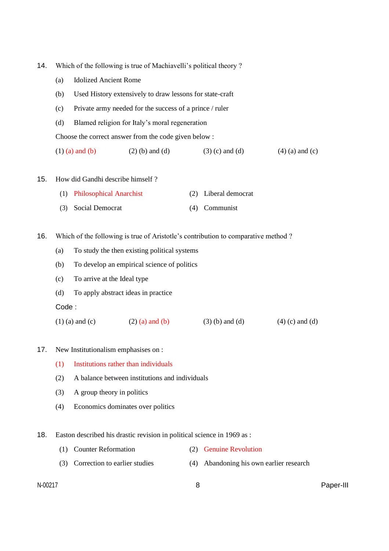- 14. Which of the following is true of Machiavelli's political theory ?
	- (a) Idolized Ancient Rome
	- (b) Used History extensively to draw lessons for state-craft
	- (c) Private army needed for the success of a prince / ruler
	- (d) Blamed religion for Italy's moral regeneration

Choose the correct answer from the code given below :

(1) (a) and (b) (2) (b) and (d) (3) (c) and (d) (4) (a) and (c)

15. How did Gandhi describe himself ?

| (1) Philosophical Anarchist | (2) Liberal democrat |
|-----------------------------|----------------------|
| (3) Social Democrat         | (4) Communist        |

- 16. Which of the following is true of Aristotle's contribution to comparative method ?
	- (a) To study the then existing political systems
	- (b) To develop an empirical science of politics
	- (c) To arrive at the Ideal type
	- (d) To apply abstract ideas in practice

Code :

- (1) (a) and (c) (2) (a) and (b) (3) (b) and (d) (4) (c) and (d)
- 17. New Institutionalism emphasises on :
	- (1) Institutions rather than individuals
	- (2) A balance between institutions and individuals
	- (3) A group theory in politics
	- (4) Economics dominates over politics
- 18. Easton described his drastic revision in political science in 1969 as :
	- (1) Counter Reformation (2) Genuine Revolution
	- (3) Correction to earlier studies (4) Abandoning his own earlier research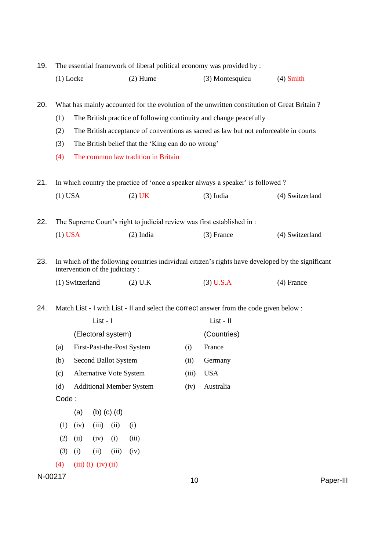| 19.<br>The essential framework of liberal political economy was provided by : |            |                                |                   |       |                                                    |             |                                                                                                                                                                   |                                                                                                   |
|-------------------------------------------------------------------------------|------------|--------------------------------|-------------------|-------|----------------------------------------------------|-------------|-------------------------------------------------------------------------------------------------------------------------------------------------------------------|---------------------------------------------------------------------------------------------------|
|                                                                               |            | $(1)$ Locke                    |                   |       | $(2)$ Hume                                         |             | (3) Montesquieu                                                                                                                                                   | $(4)$ Smith                                                                                       |
| 20.                                                                           | (1)        |                                |                   |       |                                                    |             | What has mainly accounted for the evolution of the unwritten constitution of Great Britain?<br>The British practice of following continuity and change peacefully |                                                                                                   |
|                                                                               | (2)        |                                |                   |       |                                                    |             | The British acceptance of conventions as sacred as law but not enforceable in courts                                                                              |                                                                                                   |
|                                                                               | (3)        |                                |                   |       | The British belief that the 'King can do no wrong' |             |                                                                                                                                                                   |                                                                                                   |
|                                                                               | (4)        |                                |                   |       | The common law tradition in Britain                |             |                                                                                                                                                                   |                                                                                                   |
| 21.                                                                           |            |                                |                   |       |                                                    |             | In which country the practice of 'once a speaker always a speaker' is followed?                                                                                   |                                                                                                   |
|                                                                               | $(1)$ USA  |                                |                   |       | $(2)$ UK                                           |             | $(3)$ India                                                                                                                                                       | (4) Switzerland                                                                                   |
|                                                                               |            |                                |                   |       |                                                    |             |                                                                                                                                                                   |                                                                                                   |
| 22.                                                                           |            |                                |                   |       |                                                    |             | The Supreme Court's right to judicial review was first established in:                                                                                            |                                                                                                   |
|                                                                               | $(1)$ USA  |                                |                   |       | $(2)$ India                                        |             | $(3)$ France                                                                                                                                                      | (4) Switzerland                                                                                   |
| 23.                                                                           |            | intervention of the judiciary: |                   |       |                                                    |             |                                                                                                                                                                   | In which of the following countries individual citizen's rights have developed by the significant |
|                                                                               |            | (1) Switzerland                |                   |       | $(2)$ U.K                                          |             | $(3)$ U.S.A                                                                                                                                                       | $(4)$ France                                                                                      |
|                                                                               |            |                                |                   |       |                                                    |             |                                                                                                                                                                   |                                                                                                   |
| 24.                                                                           |            |                                |                   |       |                                                    |             | Match List - I with List - II and select the correct answer from the code given below:                                                                            |                                                                                                   |
|                                                                               |            |                                | List - I          |       |                                                    |             | List - II                                                                                                                                                         |                                                                                                   |
|                                                                               |            | (Electoral system)             |                   |       |                                                    |             | (Countries)                                                                                                                                                       |                                                                                                   |
|                                                                               | (a)<br>(b) | Second Ballot System           |                   |       | First-Past-the-Post System                         | (i)<br>(ii) | France<br>Germany                                                                                                                                                 |                                                                                                   |
|                                                                               | (c)        | Alternative Vote System        |                   |       |                                                    | (iii)       | <b>USA</b>                                                                                                                                                        |                                                                                                   |
|                                                                               | (d)        |                                |                   |       | <b>Additional Member System</b>                    | (iv)        | Australia                                                                                                                                                         |                                                                                                   |
|                                                                               | Code:      |                                |                   |       |                                                    |             |                                                                                                                                                                   |                                                                                                   |
|                                                                               |            | (a)                            | $(b)$ $(c)$ $(d)$ |       |                                                    |             |                                                                                                                                                                   |                                                                                                   |
|                                                                               | (1)        | (iv)                           | (iii)             | (ii)  | (i)                                                |             |                                                                                                                                                                   |                                                                                                   |
|                                                                               | (2)        | (ii)                           | (iv)              | (i)   | (iii)                                              |             |                                                                                                                                                                   |                                                                                                   |
|                                                                               | (3)        | (i)                            | (ii)              | (iii) | (iv)                                               |             |                                                                                                                                                                   |                                                                                                   |
|                                                                               | (4)        | $(iii)$ $(i)$ $(iv)$ $(ii)$    |                   |       |                                                    |             |                                                                                                                                                                   |                                                                                                   |
|                                                                               | N-00217    |                                |                   |       |                                                    | 10          |                                                                                                                                                                   | Paper-III                                                                                         |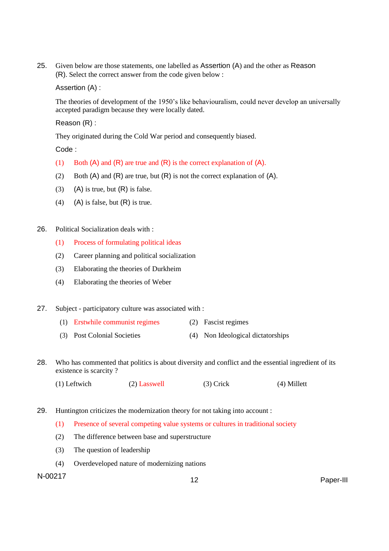25. Given below are those statements, one labelled as Assertion (A) and the other as Reason (R). Select the correct answer from the code given below :

Assertion (A) :

The theories of development of the 1950's like behaviouralism, could never develop an universally accepted paradigm because they were locally dated.

Reason (R) :

They originated during the Cold War period and consequently biased.

Code :

- (1) Both  $(A)$  and  $(R)$  are true and  $(R)$  is the correct explanation of  $(A)$ .
- (2) Both  $(A)$  and  $(R)$  are true, but  $(R)$  is not the correct explanation of  $(A)$ .
- (3) (A) is true, but  $(R)$  is false.
- (4) (A) is false, but  $(R)$  is true.
- 26. Political Socialization deals with :
	- (1) Process of formulating political ideas
	- (2) Career planning and political socialization
	- (3) Elaborating the theories of Durkheim
	- (4) Elaborating the theories of Weber
- 27. Subject participatory culture was associated with :
	- (1) Erstwhile communist regimes (2) Fascist regimes
	- (3) Post Colonial Societies (4) Non Ideological dictatorships
- 28. Who has commented that politics is about diversity and conflict and the essential ingredient of its existence is scarcity ?
	- (1) Leftwich (2) Lasswell (3) Crick (4) Millett
- 29. Huntington criticizes the modernization theory for not taking into account :
	- (1) Presence of several competing value systems or cultures in traditional society
	- (2) The difference between base and superstructure
	- (3) The question of leadership
	- (4) Overdeveloped nature of modernizing nations

N-00217 <sup>12</sup> Paper-III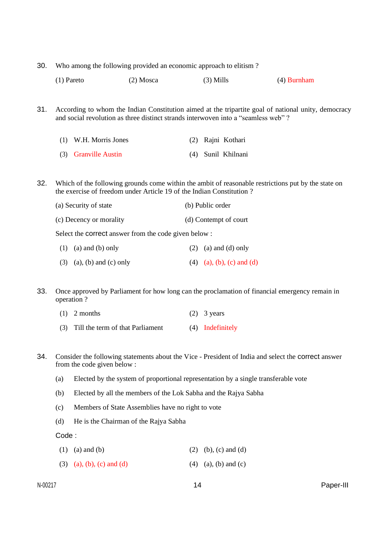- 30. Who among the following provided an economic approach to elitism ?
	- (1) Pareto (2) Mosca (3) Mills (4) Burnham
- 31. According to whom the Indian Constitution aimed at the tripartite goal of national unity, democracy and social revolution as three distinct strands interwoven into a "seamless web" ?
	- (1) W.H. Morris Jones (2) Rajni Kothari (3) Granville Austin (4) Sunil Khilnani
- 32. Which of the following grounds come within the ambit of reasonable restrictions put by the state on the exercise of freedom under Article 19 of the Indian Constitution ?
	- (a) Security of state (b) Public order
	- (c) Decency or morality (d) Contempt of court

Select the correct answer from the code given below :

- (1) (a) and (b) only (2) (a) and (d) only
- (3) (a), (b) and (c) only (4) (a), (b), (c) and (d)

33. Once approved by Parliament for how long can the proclamation of financial emergency remain in operation ?

| $(1)$ 2 months | $(2)$ 3 years |
|----------------|---------------|
|----------------|---------------|

- (3) Till the term of that Parliament (4) Indefinitely
- 34. Consider the following statements about the Vice President of India and select the correct answer from the code given below :
	- (a) Elected by the system of proportional representation by a single transferable vote
	- (b) Elected by all the members of the Lok Sabha and the Rajya Sabha
	- (c) Members of State Assemblies have no right to vote
	- (d) He is the Chairman of the Rajya Sabha

Code :

- (1) (a) and (b) (2) (b), (c) and (d)
- (3) (a), (b), (c) and (d) (4) (a), (b) and (c)

N-00217 14 Paper-III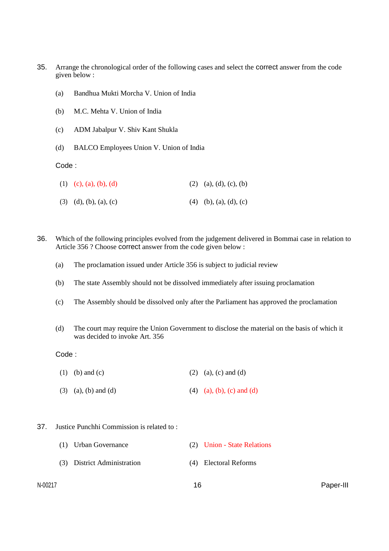- 35. Arrange the chronological order of the following cases and select the correct answer from the code given below :
	- (a) Bandhua Mukti Morcha V. Union of India
	- (b) M.C. Mehta V. Union of India
	- (c) ADM Jabalpur V. Shiv Kant Shukla
	- (d) BALCO Employees Union V. Union of India

Code :

| (1) (c), (a), (b), (d)              | $(2)$ (a), (d), (c), (b) |
|-------------------------------------|--------------------------|
| $(3)$ $(d)$ , $(b)$ , $(a)$ , $(c)$ | $(4)$ (b), (a), (d), (c) |

- 36. Which of the following principles evolved from the judgement delivered in Bommai case in relation to Article 356 ? Choose correct answer from the code given below :
	- (a) The proclamation issued under Article 356 is subject to judicial review
	- (b) The state Assembly should not be dissolved immediately after issuing proclamation
	- (c) The Assembly should be dissolved only after the Parliament has approved the proclamation
	- (d) The court may require the Union Government to disclose the material on the basis of which it was decided to invoke Art. 356

Code :

- (1) (b) and (c) (2) (a), (c) and (d)
- (3) (a), (b) and (d) (4) (a), (b), (c) and (d)
- 37. Justice Punchhi Commission is related to :
	- (1) Urban Governance (2) Union State Relations (3) District Administration (4) Electoral Reforms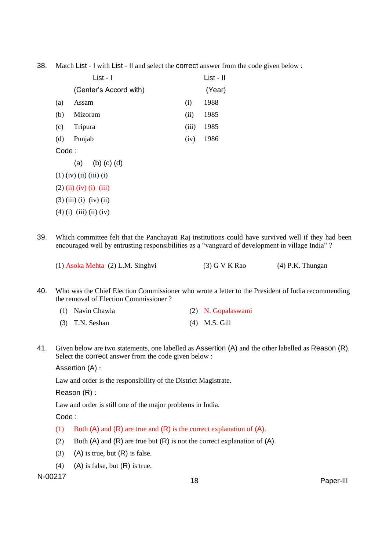38. Match List - I with List - II and select the correct answer from the code given below :

|       | List - I                  |       | List - II |
|-------|---------------------------|-------|-----------|
|       | (Center's Accord with)    |       | (Year)    |
| (a)   | Assam                     | (i)   | 1988      |
| (b)   | Mizoram                   | (ii)  | 1985      |
| (c)   | Tripura                   | (iii) | 1985      |
| (d)   | Punjab                    | (iv)  | 1986      |
| Code: |                           |       |           |
|       | (a) (b) (c) (d)           |       |           |
|       | $(1)$ (iv) (ii) (iii) (i) |       |           |
|       | $(2)$ (ii) (iv) (i) (iii) |       |           |
|       | $(3)$ (iii) (i) (iv) (ii) |       |           |
|       | $(4)$ (i) (iii) (ii) (iv) |       |           |

39. Which committee felt that the Panchayati Raj institutions could have survived well if they had been encouraged well by entrusting responsibilities as a "vanguard of development in village India" ?

(1) Asoka Mehta (2) L.M. Singhvi (3) G V K Rao (4) P.K. Thungan

40. Who was the Chief Election Commissioner who wrote a letter to the President of India recommending the removal of Election Commissioner ?

| (1) Navin Chawla  | (2) N. Gopalaswami |
|-------------------|--------------------|
| $(3)$ T.N. Seshan | $(4)$ M.S. Gill    |

41. Given below are two statements, one labelled as Assertion (A) and the other labelled as Reason (R). Select the correct answer from the code given below :

Assertion (A) :

Law and order is the responsibility of the District Magistrate.

Reason (R) :

Law and order is still one of the major problems in India.

Code :

- (1) Both  $(A)$  and  $(R)$  are true and  $(R)$  is the correct explanation of  $(A)$ .
- (2) Both  $(A)$  and  $(R)$  are true but  $(R)$  is not the correct explanation of  $(A)$ .
- (3) (A) is true, but  $(R)$  is false.
- (4) (A) is false, but  $(R)$  is true.

N-00217 <sup>18</sup> Paper-III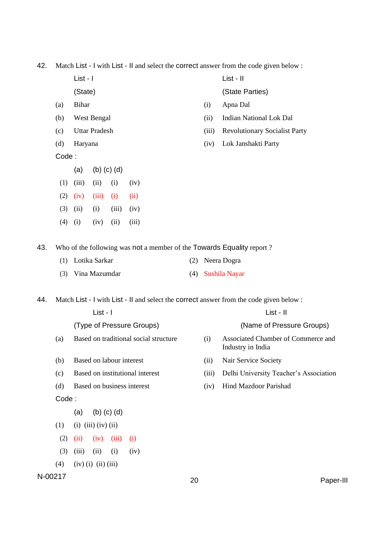42. Match List - I with List - II and select the correct answer from the code given below :

List - I List - II

- 
- 
- 
- 
- 

Code :

- (a) (b) (c) (d)
- $(1)$   $(iii)$   $(ii)$   $(i)$   $(iv)$  $(2)$   $(iv)$   $(iii)$   $(i)$   $(ii)$
- (3) (ii) (i) (iii) (iv)
- $(4)$  (i) (iv) (ii) (iii)

(State) (State Parties)

- (a) Bihar (i) Apna Dal
- (b) West Bengal (ii) Indian National Lok Dal
- (c) Uttar Pradesh (iii) Revolutionary Socialist Party
- (d) Haryana (iv) Lok Janshakti Party

43. Who of the following was not a member of the Towards Equality report ?

(1) Lotika Sarkar (2) Neera Dogra (3) Vina Mazumdar (4) Sushila Nayar

44. Match List - I with List - II and select the correct answer from the code given below :

|         |       |                             | List - I          |       |                                       |    |       | List - II                                               |
|---------|-------|-----------------------------|-------------------|-------|---------------------------------------|----|-------|---------------------------------------------------------|
|         |       |                             |                   |       | (Type of Pressure Groups)             |    |       | (Name of Pressure Groups)                               |
|         | (a)   |                             |                   |       | Based on traditional social structure |    | (i)   | Associated Chamber of Commerce and<br>Industry in India |
|         | (b)   | Based on labour interest    |                   |       |                                       |    | (ii)  | Nair Service Society                                    |
|         | (c)   |                             |                   |       | Based on institutional interest       |    | (iii) | Delhi University Teacher's Association                  |
|         | (d)   |                             |                   |       | Based on business interest            |    | (iv)  | Hind Mazdoor Parishad                                   |
|         | Code: |                             |                   |       |                                       |    |       |                                                         |
|         |       | (a)                         | $(b)$ $(c)$ $(d)$ |       |                                       |    |       |                                                         |
|         | (1)   | $(i)$ $(iii)$ $(iv)$ $(ii)$ |                   |       |                                       |    |       |                                                         |
|         | (2)   | (ii)                        | (iv)              | (iii) | (i)                                   |    |       |                                                         |
|         | (3)   | (iii)                       | (ii)              | (i)   | (iv)                                  |    |       |                                                         |
|         | (4)   | $(iv)$ (i) (ii) (iii)       |                   |       |                                       |    |       |                                                         |
| N-00217 |       |                             |                   |       |                                       | 20 |       | Paper-III                                               |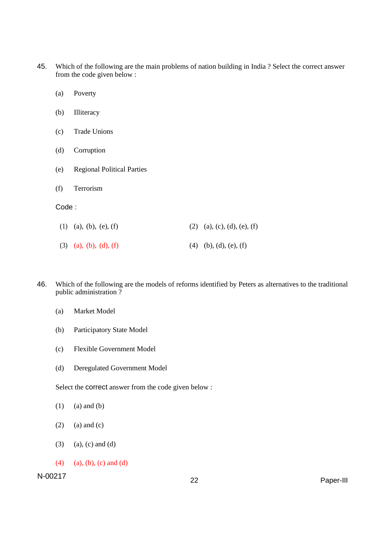- 45. Which of the following are the main problems of nation building in India ? Select the correct answer from the code given below :
	- (a) Poverty
	- (b) Illiteracy
	- (c) Trade Unions
	- (d) Corruption
	- (e) Regional Political Parties
	- (f) Terrorism

#### Code :

| $(1)$ (a), (b), (e), (f) | $(2)$ (a), (c), (d), (e), (f) |
|--------------------------|-------------------------------|
| $(3)$ (a), (b), (d), (f) | $(4)$ (b), (d), (e), (f)      |

- 46. Which of the following are the models of reforms identified by Peters as alternatives to the traditional public administration ?
	- (a) Market Model
	- (b) Participatory State Model
	- (c) Flexible Government Model
	- (d) Deregulated Government Model

Select the correct answer from the code given below :

- $(1)$  (a) and (b)
- $(2)$  (a) and  $(c)$
- $(3)$  (a), (c) and (d)
- (4) (a), (b), (c) and (d)

N-00217 <sup>22</sup> Paper-III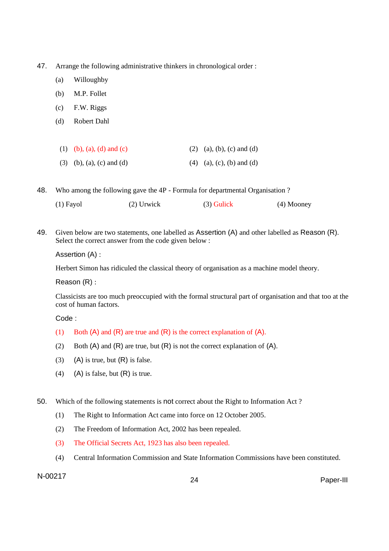- 47. Arrange the following administrative thinkers in chronological order :
	- (a) Willoughby
	- (b) M.P. Follet
	- (c) F.W. Riggs
	- (d) Robert Dahl

| (1) (b), (a), (d) and (c)   | (2) (a), (b), (c) and (d)   |
|-----------------------------|-----------------------------|
| $(3)$ (b), (a), (c) and (d) | $(4)$ (a), (c), (b) and (d) |

48. Who among the following gave the 4P - Formula for departmental Organisation ?

|  | $(1)$ Fayol | $(2)$ Urwick | $(3)$ Gulick | $(4)$ Mooney |
|--|-------------|--------------|--------------|--------------|
|--|-------------|--------------|--------------|--------------|

49. Given below are two statements, one labelled as Assertion (A) and other labelled as Reason (R). Select the correct answer from the code given below :

Assertion (A) :

Herbert Simon has ridiculed the classical theory of organisation as a machine model theory.

Reason (R) :

Classicists are too much preoccupied with the formal structural part of organisation and that too at the cost of human factors.

Code :

- (1) Both (A) and (R) are true and (R) is the correct explanation of (A).
- (2) Both  $(A)$  and  $(R)$  are true, but  $(R)$  is not the correct explanation of  $(A)$ .
- (3) (A) is true, but  $(R)$  is false.
- (4) (A) is false, but  $(R)$  is true.

50. Which of the following statements is not correct about the Right to Information Act ?

- (1) The Right to Information Act came into force on 12 October 2005.
- (2) The Freedom of Information Act, 2002 has been repealed.
- (3) The Official Secrets Act, 1923 has also been repealed.
- (4) Central Information Commission and State Information Commissions have been constituted.

N-00217 <sup>24</sup> Paper-III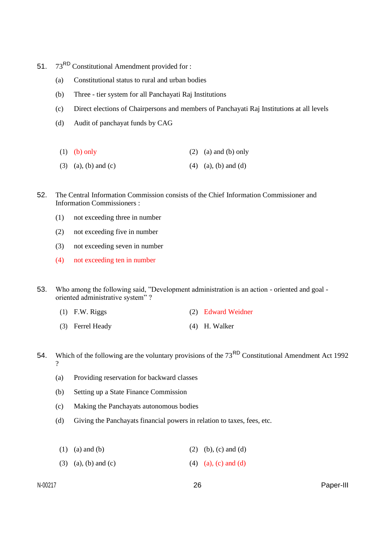- 51. 73<sup>RD</sup> Constitutional Amendment provided for :
	- (a) Constitutional status to rural and urban bodies
	- (b) Three tier system for all Panchayati Raj Institutions
	- (c) Direct elections of Chairpersons and members of Panchayati Raj Institutions at all levels
	- (d) Audit of panchayat funds by CAG
	- (1) (b) only (2) (a) and (b) only
	- (3) (a), (b) and (c) (4) (a), (b) and (d)
- 52. The Central Information Commission consists of the Chief Information Commissioner and Information Commissioners :
	- (1) not exceeding three in number
	- (2) not exceeding five in number
	- (3) not exceeding seven in number
	- (4) not exceeding ten in number

53. Who among the following said, "Development administration is an action - oriented and goal oriented administrative system" ?

- (1) F.W. Riggs (2) Edward Weidner
- (3) Ferrel Heady (4) H. Walker
- 54. Which of the following are the voluntary provisions of the  $73<sup>RD</sup>$  Constitutional Amendment Act 1992 ?
	- (a) Providing reservation for backward classes
	- (b) Setting up a State Finance Commission
	- (c) Making the Panchayats autonomous bodies
	- (d) Giving the Panchayats financial powers in relation to taxes, fees, etc.
	- (1) (a) and (b) (2) (b), (c) and (d)
	- (3) (a), (b) and (c) (4) (a), (c) and (d)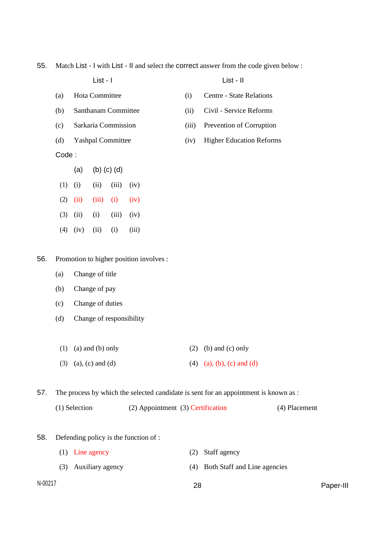55. Match List - I with List - II and select the correct answer from the code given below :

| List - I |  | List - II |
|----------|--|-----------|
|          |  |           |

- (a) Hota Committee (i) Centre State Relations
- (b) Santhanam Committee (ii) Civil Service Reforms
- (c) Sarkaria Commission (iii) Prevention of Corruption
- (d) Yashpal Committee (iv) Higher Education Reforms

Code :

(a) (b) (c) (d)  $(1)$   $(ii)$   $(iii)$   $(iv)$  $(2)$   $(ii)$   $(iii)$   $(i)$   $(iv)$  $(3)$   $(ii)$   $(i)$   $(iii)$   $(iv)$  $(4)$   $(iv)$   $(ii)$   $(i)$   $(iii)$ 

- 
- 
- 
- 
- 

- 56. Promotion to higher position involves :
	- (a) Change of title
	- (b) Change of pay
	- (c) Change of duties
	- (d) Change of responsibility
	- (1) (a) and (b) only (2) (b) and (c) only (3) (a), (c) and (d) (4) (a), (b), (c) and (d)

57. The process by which the selected candidate is sent for an appointment is known as :

| (1) Selection | $(2)$ Appointment $(3)$ Certification |  | (4) Placement |
|---------------|---------------------------------------|--|---------------|
|---------------|---------------------------------------|--|---------------|

58. Defending policy is the function of :

|                          | $(1)$ Line agency    | (2) Staff agency                 |
|--------------------------|----------------------|----------------------------------|
|                          | (3) Auxiliary agency | (4) Both Staff and Line agencies |
| $\overline{\phantom{0}}$ |                      |                                  |

N-00217 28 Paper-III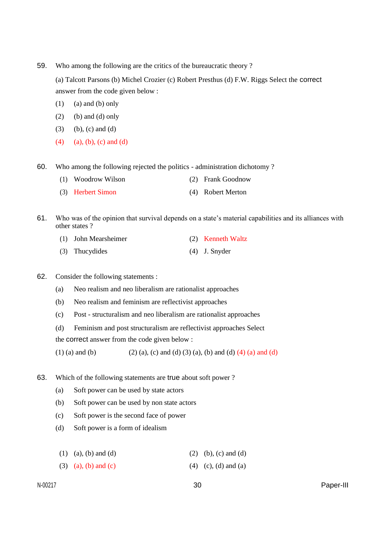59. Who among the following are the critics of the bureaucratic theory ?

(a) Talcott Parsons (b) Michel Crozier (c) Robert Presthus (d) F.W. Riggs Select the correct answer from the code given below :

- $(1)$  (a) and (b) only
- $(2)$  (b) and (d) only
- $(3)$  (b), (c) and (d)
- $(4)$  (a), (b), (c) and (d)

60. Who among the following rejected the politics - administration dichotomy ?

- (1) Woodrow Wilson (2) Frank Goodnow
- (3) Herbert Simon (4) Robert Merton

61. Who was of the opinion that survival depends on a state's material capabilities and its alliances with other states ?

- (1) John Mearsheimer (2) Kenneth Waltz
- (3) Thucydides (4) J. Snyder

## 62. Consider the following statements :

- (a) Neo realism and neo liberalism are rationalist approaches
- (b) Neo realism and feminism are reflectivist approaches
- (c) Post structuralism and neo liberalism are rationalist approaches
- (d) Feminism and post structuralism are reflectivist approaches Select

the correct answer from the code given below :

(1) (a) and (b) (2) (a), (c) and (d) (3) (a), (b) and (d) (4) (a) and (d)

- 63. Which of the following statements are true about soft power ?
	- (a) Soft power can be used by state actors
	- (b) Soft power can be used by non state actors
	- (c) Soft power is the second face of power
	- (d) Soft power is a form of idealism
	- (1) (a), (b) and (d) (2) (b), (c) and (d)
	- (3) (a), (b) and (c) (4) (c), (d) and (a)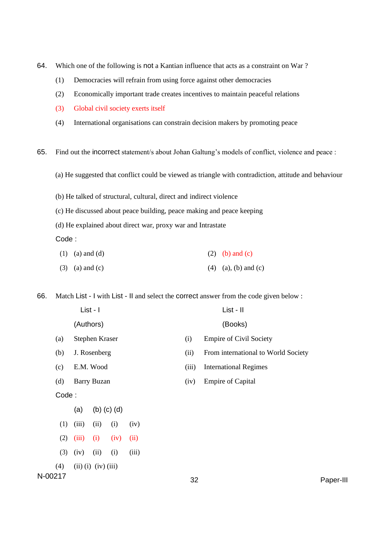- 64. Which one of the following is not a Kantian influence that acts as a constraint on War ?
	- (1) Democracies will refrain from using force against other democracies
	- (2) Economically important trade creates incentives to maintain peaceful relations
	- (3) Global civil society exerts itself
	- (4) International organisations can constrain decision makers by promoting peace

65. Find out the incorrect statement/s about Johan Galtung's models of conflict, violence and peace :

- (a) He suggested that conflict could be viewed as triangle with contradiction, attitude and behaviour
- (b) He talked of structural, cultural, direct and indirect violence
- (c) He discussed about peace building, peace making and peace keeping
- (d) He explained about direct war, proxy war and Intrastate
- Code :
- (1) (a) and (d) (2) (b) and (c)
- (3) (a) and (c)  $(4)$  (a), (b) and (c)

66. Match List - I with List - II and select the correct answer from the code given below :

|         |       |                             | List - I       |                   |       |       | List - II                           |           |
|---------|-------|-----------------------------|----------------|-------------------|-------|-------|-------------------------------------|-----------|
|         |       |                             | (Authors)      |                   |       |       | (Books)                             |           |
|         | (a)   |                             | Stephen Kraser |                   |       | (i)   | <b>Empire of Civil Society</b>      |           |
|         | (b)   | J. Rosenberg                |                |                   |       | (ii)  | From international to World Society |           |
|         | (c)   |                             | E.M. Wood      |                   |       | (iii) | <b>International Regimes</b>        |           |
|         | (d)   | <b>Barry Buzan</b>          |                |                   |       | (iv)  | <b>Empire of Capital</b>            |           |
|         | Code: |                             |                |                   |       |       |                                     |           |
|         |       | (a)                         |                | $(b)$ $(c)$ $(d)$ |       |       |                                     |           |
|         | (1)   | (iii)                       | (ii)           | (i)               | (iv)  |       |                                     |           |
|         | (2)   | (iii)                       | (i)            | (iv)              | (ii)  |       |                                     |           |
|         | (3)   | (iv)                        | (ii)           | (i)               | (iii) |       |                                     |           |
|         | (4)   | $(ii)$ $(i)$ $(iv)$ $(iii)$ |                |                   |       |       |                                     |           |
| N-00217 |       |                             |                |                   |       | 32    |                                     | Paper-III |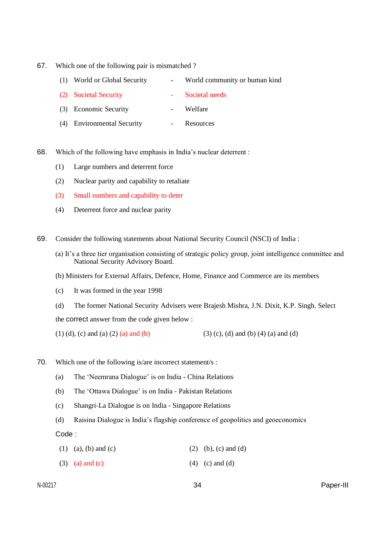67. Which one of the following pair is mismatched ?

| (1) World or Global Security | World community or human kind |
|------------------------------|-------------------------------|
| (2) Societal Security        | - Societal needs              |
| (3) Economic Security        | Welfare                       |

- (4) Environmental Security Resources
- 68. Which of the following have emphasis in India's nuclear deterrent :
	- (1) Large numbers and deterrent force
	- (2) Nuclear parity and capability to retaliate
	- (3) Small numbers and capability to deter
	- (4) Deterrent force and nuclear parity
- 69. Consider the following statements about National Security Council (NSCI) of India :
	- (a) It's a three tier organisation consisting of strategic policy group, joint intelligence committee and National Security Advisory Board.
	- (b) Ministers for External Affairs, Defence, Home, Finance and Commerce are its members
	- (c) It was formed in the year 1998
	- (d) The former National Security Advisers were Brajesh Mishra, J.N. Dixit, K.P. Singh. Select the correct answer from the code given below :
	- (1) (d), (c) and (a) (2) (a) and (b) (3) (c), (d) and (b) (4) (a) and (d)
- 70. Which one of the following is/are incorrect statement/s :
	- (a) The 'Neemrana Dialogue' is on India China Relations
	- (b) The 'Ottawa Dialogue' is on India Pakistan Relations
	- (c) Shangri-La Dialogue is on India Singapore Relations
	- (d) Raisina Dialogue is India's flagship conference of geopolitics and geoeconomics

Code :

- (1) (a), (b) and (c) (2) (b), (c) and (d)
- (3) (a) and (c) (4) (c) and (d)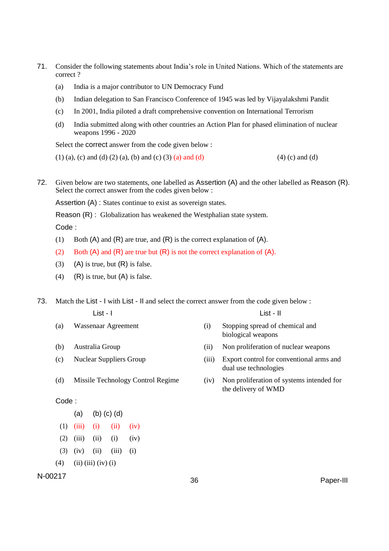- 71. Consider the following statements about India's role in United Nations. Which of the statements are correct ?
	- (a) India is a major contributor to UN Democracy Fund
	- (b) Indian delegation to San Francisco Conference of 1945 was led by Vijayalakshmi Pandit
	- (c) In 2001, India piloted a draft comprehensive convention on International Terrorism
	- (d) India submitted along with other countries an Action Plan for phased elimination of nuclear weapons 1996 - 2020

Select the correct answer from the code given below :

(1) (a), (c) and (d) (2) (a), (b) and (c) (3) (a) and (d) (4) (c) and (d)

72. Given below are two statements, one labelled as Assertion (A) and the other labelled as Reason (R). Select the correct answer from the codes given below :

Assertion (A) : States continue to exist as sovereign states.

Reason (R) : Globalization has weakened the Westphalian state system.

Code :

- (1) Both  $(A)$  and  $(R)$  are true, and  $(R)$  is the correct explanation of  $(A)$ .
- (2) Both  $(A)$  and  $(R)$  are true but  $(R)$  is not the correct explanation of  $(A)$ .
- $(3)$  (A) is true, but  $(R)$  is false.
- (4) (R) is true, but  $(A)$  is false.

73. Match the List - I with List - II and select the correct answer from the code given below :

| $List - I$ | List - II |
|------------|-----------|
|            |           |

- 
- (a) Wassenaar Agreement (i) Stopping spread of chemical and biological weapons
- 
- 
- (b) Australia Group (ii) Non proliferation of nuclear weapons
- (c) Nuclear Suppliers Group (iii) Export control for conventional arms and dual use technologies
- (d) Missile Technology Control Regime (iv) Non proliferation of systems intended for the delivery of WMD

## Code :

- (a) (b) (c) (d)
- $(1)$   $(iii)$   $(i)$   $(ii)$   $(iv)$
- $(2)$   $(iii)$   $(ii)$   $(i)$   $(iv)$
- $(3)$   $(iv)$   $(ii)$   $(iii)$   $(i)$
- $(4)$  (ii) (iii) (iv) (i)

# N-00217 <sup>36</sup> Paper-III